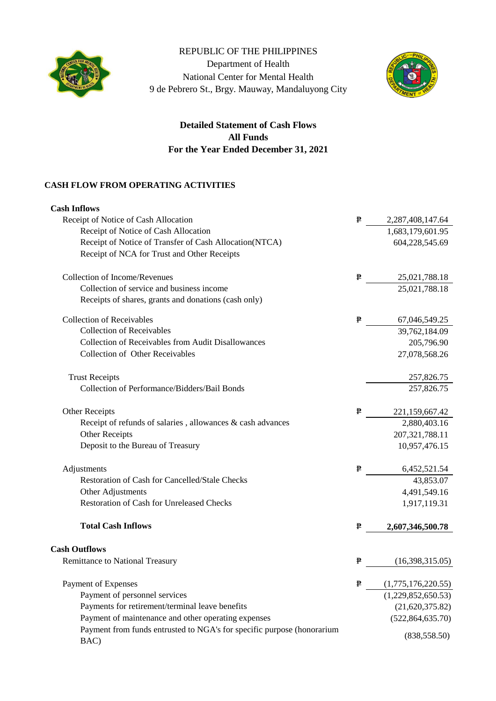

## REPUBLIC OF THE PHILIPPINES

Department of Health National Center for Mental Health 9 de Pebrero St., Brgy. Mauway, Mandaluyong City



## **For the Year Ended December 31, 2021 Detailed Statement of Cash Flows All Funds**

## **CASH FLOW FROM OPERATING ACTIVITIES**

| <b>Cash Inflows</b>                                                            |   |                    |
|--------------------------------------------------------------------------------|---|--------------------|
| Receipt of Notice of Cash Allocation                                           | ₱ | 2,287,408,147.64   |
| Receipt of Notice of Cash Allocation                                           |   | 1,683,179,601.95   |
| Receipt of Notice of Transfer of Cash Allocation(NTCA)                         |   | 604,228,545.69     |
| Receipt of NCA for Trust and Other Receipts                                    |   |                    |
| <b>Collection of Income/Revenues</b>                                           | ₱ | 25,021,788.18      |
| Collection of service and business income                                      |   | 25,021,788.18      |
| Receipts of shares, grants and donations (cash only)                           |   |                    |
| <b>Collection of Receivables</b>                                               | ₱ | 67,046,549.25      |
| <b>Collection of Receivables</b>                                               |   | 39,762,184.09      |
| Collection of Receivables from Audit Disallowances                             |   | 205,796.90         |
| <b>Collection of Other Receivables</b>                                         |   | 27,078,568.26      |
| <b>Trust Receipts</b>                                                          |   | 257,826.75         |
| Collection of Performance/Bidders/Bail Bonds                                   |   | 257,826.75         |
| Other Receipts                                                                 | ₱ | 221,159,667.42     |
| Receipt of refunds of salaries, allowances $\&$ cash advances                  |   | 2,880,403.16       |
| Other Receipts                                                                 |   | 207, 321, 788. 11  |
| Deposit to the Bureau of Treasury                                              |   | 10,957,476.15      |
| Adjustments                                                                    | ₱ | 6,452,521.54       |
| Restoration of Cash for Cancelled/Stale Checks                                 |   | 43,853.07          |
| Other Adjustments                                                              |   | 4,491,549.16       |
| <b>Restoration of Cash for Unreleased Checks</b>                               |   | 1,917,119.31       |
| <b>Total Cash Inflows</b>                                                      | ₱ | 2,607,346,500.78   |
| <b>Cash Outflows</b>                                                           |   |                    |
| Remittance to National Treasury                                                | ₽ | (16,398,315.05)    |
| Payment of Expenses                                                            | ₱ | (1,775,176,220.55) |
| Payment of personnel services                                                  |   | (1,229,852,650.53) |
| Payments for retirement/terminal leave benefits                                |   | (21,620,375.82)    |
| Payment of maintenance and other operating expenses                            |   | (522, 864, 635.70) |
| Payment from funds entrusted to NGA's for specific purpose (honorarium<br>BAC) |   | (838, 558.50)      |